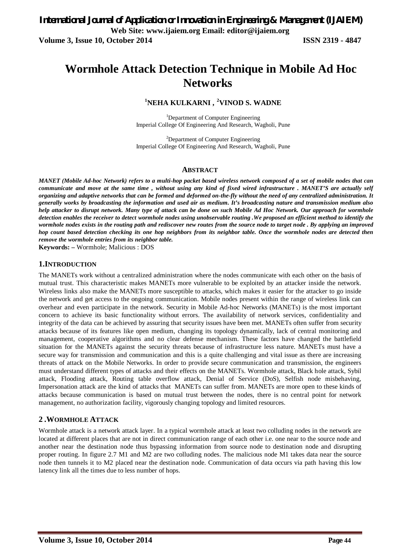# **Wormhole Attack Detection Technique in Mobile Ad Hoc Networks**

# **<sup>1</sup>NEHA KULKARNI , <sup>2</sup>VINOD S. WADNE**

<sup>1</sup>Department of Computer Engineering Imperial College Of Engineering And Research, Wagholi, Pune

<sup>2</sup>Department of Computer Engineering Imperial College Of Engineering And Research, Wagholi, Pune

#### **ABSTRACT**

*MANET (Mobile Ad-hoc Network) refers to a multi-hop packet based wireless network composed of a set of mobile nodes that can communicate and move at the same time , without using any kind of fixed wired infrastructure . MANET'S are actually self organizing and adaptive networks that can be formed and deformed on-the-fly without the need of any centralized administration. It generally works by broadcasting the information and used air as medium. It's broadcasting nature and transmission medium also help attacker to disrupt network. Many type of attack can be done on such Mobile Ad Hoc Network. Our approach for wormhole detection enables the receiver to detect wormhole nodes using unobservable routing .We proposed an efficient method to identify the wormhole nodes exists in the routing path and rediscover new routes from the source node to target node . By applying an improved hop count based detection checking its one hop neighbors from its neighbor table. Once the wormhole nodes are detected then remove the wormhole entries from its neighbor table.*

**Keywords: –** Wormhole; Malicious : DOS

#### **1.INTRODUCTION**

The MANETs work without a centralized administration where the nodes communicate with each other on the basis of mutual trust. This characteristic makes MANETs more vulnerable to be exploited by an attacker inside the network. Wireless links also make the MANETs more susceptible to attacks, which makes it easier for the attacker to go inside the network and get access to the ongoing communication. Mobile nodes present within the range of wireless link can overhear and even participate in the network. Security in Mobile Ad-hoc Networks (MANETs) is the most important concern to achieve its basic functionality without errors. The availability of network services, confidentiality and integrity of the data can be achieved by assuring that security issues have been met. MANETs often suffer from security attacks because of its features like open medium, changing its topology dynamically, lack of central monitoring and management, cooperative algorithms and no clear defense mechanism. These factors have changed the battlefield situation for the MANETs against the security threats because of infrastructure less nature. MANETs must have a secure way for transmission and communication and this is a quite challenging and vital issue as there are increasing threats of attack on the Mobile Networks. In order to provide secure communication and transmission, the engineers must understand different types of attacks and their effects on the MANETs. Wormhole attack, Black hole attack, Sybil attack, Flooding attack, Routing table overflow attack, Denial of Service (DoS), Selfish node misbehaving, Impersonation attack are the kind of attacks that MANETs can suffer from. MANETs are more open to these kinds of attacks because communication is based on mutual trust between the nodes, there is no central point for network management, no authorization facility, vigorously changing topology and limited resources.

# **2 .WORMHOLE ATTACK**

Wormhole attack is a network attack layer. In a typical wormhole attack at least two colluding nodes in the network are located at different places that are not in direct communication range of each other i.e. one near to the source node and another near the destination node thus bypassing information from source node to destination node and disrupting proper routing. In figure 2.7 M1 and M2 are two colluding nodes. The malicious node M1 takes data near the source node then tunnels it to M2 placed near the destination node. Communication of data occurs via path having this low latency link all the times due to less number of hops.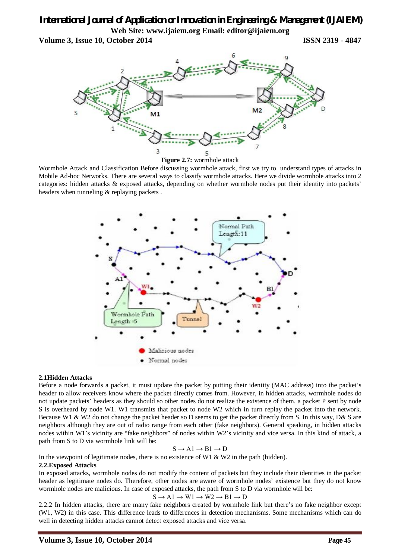# *International Journal of Application or Innovation in Engineering & Management (IJAIEM)* **Web Site: www.ijaiem.org Email: editor@ijaiem.org**

**Volume 3, Issue 10, October 2014 ISSN 2319 - 4847**



Wormhole Attack and Classification Before discussing wormhole attack, first we try to understand types of attacks in Mobile Ad-hoc Networks. There are several ways to classify wormhole attacks. Here we divide wormhole attacks into 2 categories: hidden attacks & exposed attacks, depending on whether wormhole nodes put their identity into packets' headers when tunneling & replaying packets .



#### **2.1Hidden Attacks**

Before a node forwards a packet, it must update the packet by putting their identity (MAC address) into the packet's header to allow receivers know where the packet directly comes from. However, in hidden attacks, wormhole nodes do not update packets' headers as they should so other nodes do not realize the existence of them. a packet P sent by node S is overheard by node W1. W1 transmits that packet to node W2 which in turn replay the packet into the network. Because W1 & W2 do not change the packet header so D seems to get the packet directly from S. In this way, D& S are neighbors although they are out of radio range from each other (fake neighbors). General speaking, in hidden attacks nodes within W1's vicinity are "fake neighbors" of nodes within W2's vicinity and vice versa. In this kind of attack, a path from S to D via wormhole link will be:

$$
S \to A1 \to B1 \to D
$$

In the viewpoint of legitimate nodes, there is no existence of W1  $\&$  W2 in the path (hidden).

#### **2.2.Exposed Attacks**

In exposed attacks, wormhole nodes do not modify the content of packets but they include their identities in the packet header as legitimate nodes do. Therefore, other nodes are aware of wormhole nodes' existence but they do not know wormhole nodes are malicious. In case of exposed attacks, the path from S to D via wormhole will be:

$$
S \to A1 \to W1 \to W2 \to B1 \to D
$$

2.2.2 In hidden attacks, there are many fake neighbors created by wormhole link but there's no fake neighbor except (W1, W2) in this case. This difference leads to differences in detection mechanisms. Some mechanisms which can do well in detecting hidden attacks cannot detect exposed attacks and vice versa.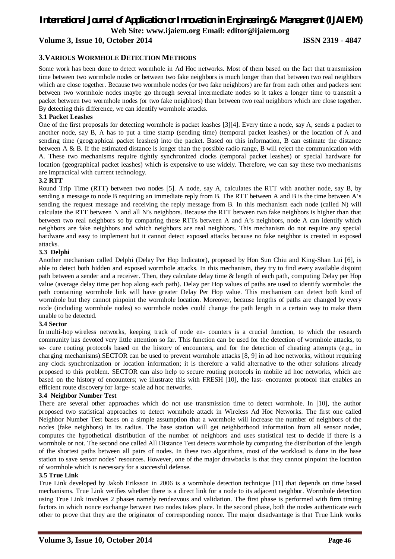# *International Journal of Application or Innovation in Engineering & Management (IJAIEM)* **Web Site: www.ijaiem.org Email: editor@ijaiem.org**

**Volume 3, Issue 10, October 2014 ISSN 2319 - 4847**

### **3.VARIOUS WORMHOLE DETECTION METHODS**

Some work has been done to detect wormhole in Ad Hoc networks. Most of them based on the fact that transmission time between two wormhole nodes or between two fake neighbors is much longer than that between two real neighbors which are close together. Because two wormhole nodes (or two fake neighbors) are far from each other and packets sent between two wormhole nodes maybe go through several intermediate nodes so it takes a longer time to transmit a packet between two wormhole nodes (or two fake neighbors) than between two real neighbors which are close together. By detecting this difference, we can identify wormhole attacks.

#### **3.1 Packet Leashes**

One of the first proposals for detecting wormhole is packet leashes [3][4]. Every time a node, say A, sends a packet to another node, say B, A has to put a time stamp (sending time) (temporal packet leashes) or the location of A and sending time (geographical packet leashes) into the packet. Based on this information, B can estimate the distance between A & B. If the estimated distance is longer than the possible radio range, B will reject the communication with A. These two mechanisms require tightly synchronized clocks (temporal packet leashes) or special hardware for location (geographical packet leashes) which is expensive to use widely. Therefore, we can say these two mechanisms are impractical with current technology.

#### **3.2 RTT**

Round Trip Time (RTT) between two nodes [5]. A node, say A, calculates the RTT with another node, say B, by sending a message to node B requiring an immediate reply from B. The RTT between A and B is the time between A's sending the request message and receiving the reply message from B. In this mechanism each node (called N) will calculate the RTT between N and all N's neighbors. Because the RTT between two fake neighbors is higher than that between two real neighbors so by comparing these RTTs between A and A's neighbors, node A can identify which neighbors are fake neighbors and which neighbors are real neighbors. This mechanism do not require any special hardware and easy to implement but it cannot detect exposed attacks because no fake neighbor is created in exposed attacks.

#### **3.3 Delphi**

Another mechanism called Delphi (Delay Per Hop Indicator), proposed by Hon Sun Chiu and King-Shan Lui [6], is able to detect both hidden and exposed wormhole attacks. In this mechanism, they try to find every available disjoint path between a sender and a receiver. Then, they calculate delay time & length of each path, computing Delay per Hop value (average delay time per hop along each path). Delay per Hop values of paths are used to identify wormhole: the path containing wormhole link will have greater Delay Per Hop value. This mechanism can detect both kind of wormhole but they cannot pinpoint the wormhole location. Moreover, because lengths of paths are changed by every node (including wormhole nodes) so wormhole nodes could change the path length in a certain way to make them unable to be detected.

#### **3.4 Sector**

In multi-hop wireless networks, keeping track of node en- counters is a crucial function, to which the research community has devoted very little attention so far. This function can be used for the detection of wormhole attacks, to se- cure routing protocols based on the history of encounters, and for the detection of cheating attempts (e.g., in charging mechanisms).SECTOR can be used to prevent wormhole attacks [8, 9] in ad hoc networks, without requiring any clock synchronization or location information; it is therefore a valid alternative to the other solutions already proposed to this problem. SECTOR can also help to secure routing protocols in mobile ad hoc networks, which are based on the history of encounters; we illustrate this with FRESH [10], the last- encounter protocol that enables an efficient route discovery for large- scale ad hoc networks.

#### **3.4 Neighbor Number Test**

There are several other approaches which do not use transmission time to detect wormhole. In [10], the author proposed two statistical approaches to detect wormhole attack in Wireless Ad Hoc Networks. The first one called Neighbor Number Test bases on a simple assumption that a wormhole will increase the number of neighbors of the nodes (fake neighbors) in its radius. The base station will get neighborhood information from all sensor nodes, computes the hypothetical distribution of the number of neighbors and uses statistical test to decide if there is a wormhole or not. The second one called All Distance Test detects wormhole by computing the distribution of the length of the shortest paths between all pairs of nodes. In these two algorithms, most of the workload is done in the base station to save sensor nodes' resources. However, one of the major drawbacks is that they cannot pinpoint the location of wormhole which is necessary for a successful defense.

#### **3.5 True Link**

True Link developed by Jakob Eriksson in 2006 is a wormhole detection technique [11] that depends on time based mechanisms. True Link verifies whether there is a direct link for a node to its adjacent neighbor. Wormhole detection using True Link involves 2 phases namely rendezvous and validation. The first phase is performed with firm timing factors in which nonce exchange between two nodes takes place. In the second phase, both the nodes authenticate each other to prove that they are the originator of corresponding nonce. The major disadvantage is that True Link works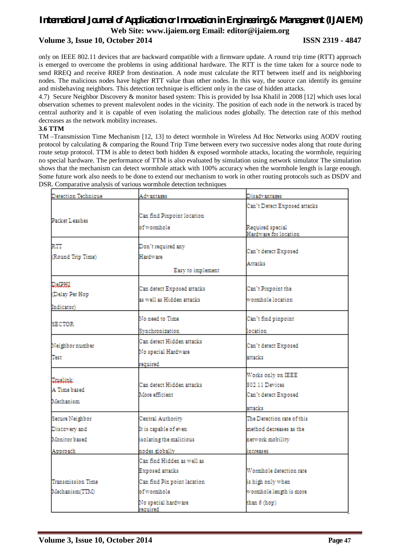# *International Journal of Application or Innovation in Engineering & Management (IJAIEM)* **Web Site: www.ijaiem.org Email: editor@ijaiem.org Volume 3, Issue 10, October 2014 ISSN 2319 - 4847**

only on IEEE 802.11 devices that are backward compatible with a firmware update. A round trip time (RTT) approach is emerged to overcome the problems in using additional hardware. The RTT is the time taken for a source node to send RREQ and receive RREP from destination. A node must calculate the RTT between itself and its neighboring nodes. The malicious nodes have higher RTT value than other nodes. In this way, the source can identify its genuine and misbehaving neighbors. This detection technique is efficient only in the case of hidden attacks.

4.7) Secure Neighbor Discovery & monitor based system: This is provided by Issa Khalil in 2008 [12] which uses local observation schemes to prevent malevolent nodes in the vicinity. The position of each node in the network is traced by central authority and it is capable of even isolating the malicious nodes globally. The detection rate of this method decreases as the network mobility increases.

#### **3.6 TTM**

TM –Transmission Time Mechanism [12, 13] to detect wormhole in Wireless Ad Hoc Networks using AODV routing protocol by calculating & comparing the Round Trip Time between every two successive nodes along that route during route setup protocol. TTM is able to detect both hidden & exposed wormhole attacks, locating the wormhole, requiring no special hardware. The performance of TTM is also evaluated by simulation using network simulator The simulation shows that the mechanism can detect wormhole attack with 100% accuracy when the wormhole length is large enough. Some future work also needs to be done to extend our mechanism to work in other routing protocols such as DSDV and DSR. Comparative analysis of various wormhole detection techniques

| <b>Detection Technique</b>                    | Advantages                                                   | Disadvantages                                                           |
|-----------------------------------------------|--------------------------------------------------------------|-------------------------------------------------------------------------|
|                                               |                                                              | Can't Detect Exposed attacks                                            |
| Packet Leashes                                | Can find Pinpoint location                                   |                                                                         |
|                                               | ofwormhole                                                   | Required special<br>Hardware for location                               |
| RTT<br>(Round Trip Time)                      | Don't required any<br>Hardware                               | Can't detect Exposed<br><b>Attacks</b>                                  |
|                                               | Easy to implement                                            |                                                                         |
| <b>DeIRHI</b><br>(Delay Per Hop<br>Indicator) | Can detect Exposed attacks<br>as well as Hidden attacks      | Can't Pinpoint the<br>wormhole location                                 |
| SECTOR                                        | No need to Time<br>Synchronization                           | Can't find pinpoint<br>location                                         |
| Neighbor number<br>Test                       | Can detect Hidden attacks<br>No special Hardware<br>required | Can't detect Exposed<br>attacks                                         |
| <b>Thuslink:</b><br>A Time based<br>Mechanism | Can detect Hidden attacks<br>More efficient                  | Works only on IEEE<br>802.11 Devices<br>Can't detect Exposed<br>attacks |
| Secure Neighbor                               | Central Authority                                            | The Detection rate of this                                              |
| Discovery and                                 | It is capable of even                                        | method decreases as the                                                 |
| Monitor based                                 | isolating the malicious                                      | network mobility                                                        |
| Approach                                      | nodes globally                                               | increases                                                               |
|                                               | Can find Hidden as well as<br>Exposed attacks                | Wormhole detection rate                                                 |
| <b>Transmission Time</b>                      | Can find Pin point lacation                                  | is high only when                                                       |
| Mechanism(TTM)                                | ofwormhole<br>No special hardware<br>required                | wormhole length is more<br>than 6 (hop)                                 |